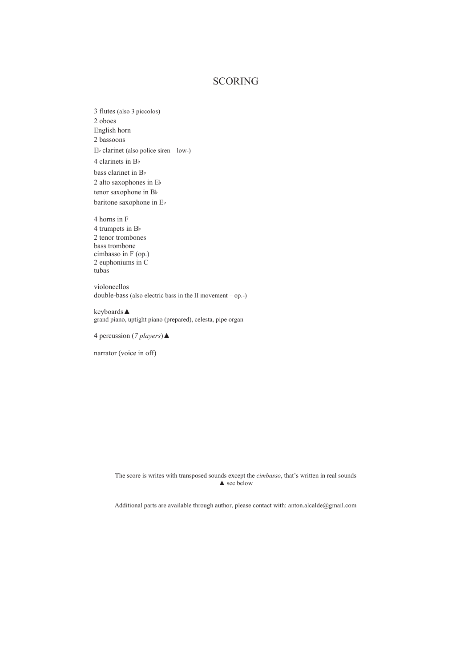## SCORING

3 flutes (also 3 piccolos) 2 oboes English horn 2 bassoons Eb clarinet (also police siren – low-) 4 clarinets in Bb bass clarinet in Bb 2 alto saxophones in Eb tenor saxophone in Bb baritone saxophone in Eb

4 horns in F 4 trumpets in Bb 2 tenor trombones bass trombone cimbasso in F (op.) 2 euphoniums in C tubas

violoncellos double-bass (also electric bass in the II movement – op.-)

keyboards▲ grand piano, uptight piano (prepared), celesta, pipe organ

4 percussion (*7 players*)▲

narrator (voice in off)

The score is writes with transposed sounds except the *cimbasso*, that's written in real sounds  $\triangle$  see below

Additional parts are available through author, please contact with: anton.alcalde@gmail.com